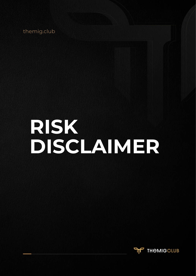themig.club

# **RISK DISCLAIMER**

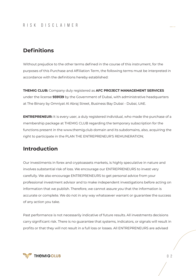## RISK DISCLAIMER

# **Definitions**

Without prejudice to the other terms defined in the course of this instrument, for the purposes of this Purchase and Affiliation Term, the following terms must be interpreted in accordance with the definitions hereby established:

**THEMIG CLUB:** Company duly registered as **AFC PROJECT MANAGEMENT SERVICES**  under the license **939139** by the Government of Dubai, with administrative headquarters at The Binary by Omniyat Al Abraj Street, Business Bay Dubai - Dubai, UAE.

**ENTREPRENEUR:** It is every user, a duly registered individual, who made the purchase of a membership package at THEMIG CLUB regarding the temporary subscription for the functions present in the www.themig.club domain and its subdomains, also, acquiring the right to participate in the PLAN THE ENTREPRENEUR'S REMUNERATION;

# **Introduction**

Our investiments in forex and cryptoassets markets, is highly speculative in nature and involves substantial risk of loss. We encourage our ENTREPRENEURS to invest very carefully. We also encourage ENTREPRENEURS to get personal advice from your professional investment advisor and to make independent investigations before acting on information that we publish. Therefore, we cannot assure you that the information is accurate or complete. We do not in any way whatsoever warrant or guarantee the success of any action you take.

Past performance is not necessarily indicative of future results. All investments decisions carry significant risk. There is no guarantee that systems, indicators, or signals will result in profits or that they will not result in a full loss or losses. All ENTREPRENEURS are advised

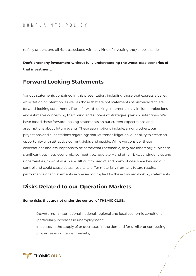## COMPLAINTS POLICY

to fully understand all risks associated with any kind of investing they choose to do.

**Don't enter any investment without fully understanding the worst-case scenarios of that investment.** 

## **Forward Looking Statements**

Various statements contained in this presentation, including those that express a belief, expectation or intention, as well as those that are not statements of historical fact, are forward-looking statements. These forward-looking statements may include projections and estimates concerning the timing and success of strategies, plans or intentions. We have based these forward-looking statements on our current expectations and assumptions about future events. These assumptions include, among others, our projections and expectations regarding: market trends litigation, our ability to create an opportunity with attractive current yields and upside. While we consider these expectations and assumptions to be somewhat reasonable, they are inherently subject to significant business, economic, competitive, regulatory and other risks, contingencies and uncertainties, most of which are difficult to predict and many of which are beyond our control and could cause actual results to differ materially from any future results, performance or achievements expressed or implied by these forward-looking statements.

# **Risks Related to our Operation Markets**

#### **Some risks that are not under the control of THEMIG CLUB:**

Downturns in international, national, regional and local economic conditions (particularly increases in unemployment;

Increases in the supply of or decreases in the demand for similar or competing properties in our target markets;

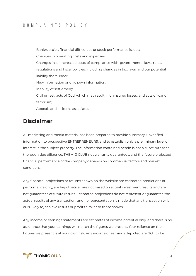## COMPLAINTS POLICY

Bankruptcies, financial difficulties or stock performance issues; Changes in operating costs and expenses; Changes in, or increased costs of compliance with, governmental laws, rules, regulations and fiscal policies, including changes in tax, laws, and our potential liability thereunder; New information or unknown information; Inability of settlemen;t Civil unrest, acts of God, which may result in uninsured losses, and acts of war or terrorism; Appeals and all items associates

# **Disclaimer**

All marketing and media material has been prepared to provide summary, unverified information to prospective ENTREPRENEURS, and to establish only a preliminary level of interest in the subject property. The information contained herein is not a substitute for a thorough due diligence. THEMIG CLUB not warranty guaranteds, and the future projected financial performance of the company depends on commercial factors and market conditions.

Any financial projections or returns shown on the website are estimated predictions of performance only, are hypothetical, are not based on actual investment results and are not guarantees of future results. Estimated projections do not represent or guarantee the actual results of any transaction, and no representation is made that any transaction will, or is likely to, achieve results or profits similar to those shown.

Any income or earnings statements are estimates of income potential only, and there is no assurance that your earnings will match the figures we present. Your reliance on the figures we present is at your own risk. Any income or earnings depicted are NOT to be

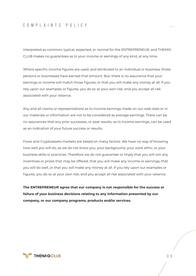## COMPLAINTS POLICY

interpreted as common, typical, expected, or normal for the ENTREPRENEUR, and THEMIG CLUB makes no guarantees as to your income or earnings of any kind, at any time.

Where specific income figures are used, and attributed to an individual or business, those persons or businesses have earned that amount. But, there is no assurance that your earnings or income will match those figures, or that you will make any money at all. If you rely upon our examples or figures, you do so at your own risk, and you accept all risk associated with your reliance.

Any and all claims or representations as to income earnings made on our web sites or in our materials or information are not to be considered as average earnings. There can be no assurances that any prior successes, or past results, as to income earnings, can be used as an indication of your future success or results.

Forex and Cryptoassets markets are based on many factors. We have no way of knowing how well you will do, as we do not know you, your background, your work ethic, or your business skills or practices. Therefore we do not guarantee or imply that you will win any incentives or prizes that may be offered, that you will make any income or earnings, that you will do well, or that you will make any money at all. If you rely upon our examples or figures, you do so at your own risk, and you accept all risk associated with your reliance.

**The ENTREPRENEUR agree that our company is not responsible for the success or failure of your business decisions relating to any information presented by our company, or our company programs, products and/or services.**